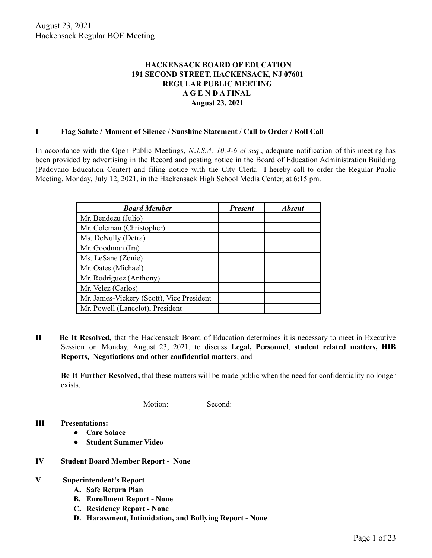# **HACKENSACK BOARD OF EDUCATION 191 SECOND STREET, HACKENSACK, NJ 07601 REGULAR PUBLIC MEETING A G E N D A FINAL August 23, 2021**

#### **I Flag Salute / Moment of Silence / Sunshine Statement / Call to Order / Roll Call**

In accordance with the Open Public Meetings, *N.J.S.A. 10:4-6 et seq*., adequate notification of this meeting has been provided by advertising in the Record and posting notice in the Board of Education Administration Building (Padovano Education Center) and filing notice with the City Clerk. I hereby call to order the Regular Public Meeting, Monday, July 12, 2021, in the Hackensack High School Media Center, at 6:15 pm.

| <b>Board Member</b>                       | <b>Present</b> | <b>Absent</b> |
|-------------------------------------------|----------------|---------------|
| Mr. Bendezu (Julio)                       |                |               |
| Mr. Coleman (Christopher)                 |                |               |
| Ms. DeNully (Detra)                       |                |               |
| Mr. Goodman (Ira)                         |                |               |
| Ms. LeSane (Zonie)                        |                |               |
| Mr. Oates (Michael)                       |                |               |
| Mr. Rodriguez (Anthony)                   |                |               |
| Mr. Velez (Carlos)                        |                |               |
| Mr. James-Vickery (Scott), Vice President |                |               |
| Mr. Powell (Lancelot), President          |                |               |

**II Be It Resolved,** that the Hackensack Board of Education determines it is necessary to meet in Executive Session on Monday, August 23, 2021, to discuss **Legal, Personnel**, **student related matters, HIB Reports, Negotiations and other confidential matters**; and

**Be It Further Resolved,** that these matters will be made public when the need for confidentiality no longer exists.

Motion: Second:

- **III Presentations:**
	- **● Care Solace**
	- **● Student Summer Video**
- **IV Student Board Member Report - None**

#### **V Superintendent's Report**

- **A. Safe Return Plan**
- **B. Enrollment Report - None**
- **C. Residency Report - None**
- **D. Harassment, Intimidation, and Bullying Report - None**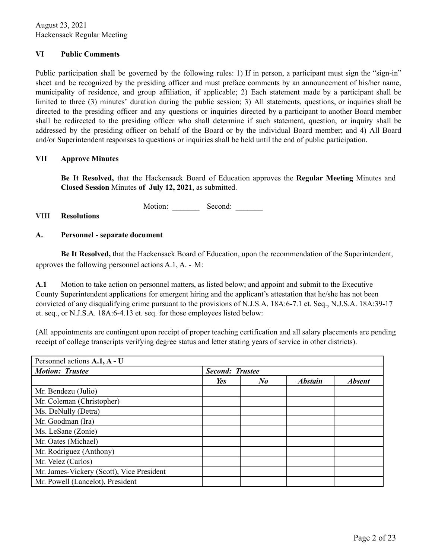## **VI Public Comments**

Public participation shall be governed by the following rules: 1) If in person, a participant must sign the "sign-in" sheet and be recognized by the presiding officer and must preface comments by an announcement of his/her name, municipality of residence, and group affiliation, if applicable; 2) Each statement made by a participant shall be limited to three (3) minutes' duration during the public session; 3) All statements, questions, or inquiries shall be directed to the presiding officer and any questions or inquiries directed by a participant to another Board member shall be redirected to the presiding officer who shall determine if such statement, question, or inquiry shall be addressed by the presiding officer on behalf of the Board or by the individual Board member; and 4) All Board and/or Superintendent responses to questions or inquiries shall be held until the end of public participation.

### **VII Approve Minutes**

**Be It Resolved,** that the Hackensack Board of Education approves the **Regular Meeting** Minutes and **Closed Session** Minutes **of July 12, 2021**, as submitted.

Motion: Second:

### **VIII Resolutions**

### **A. Personnel - separate document**

**Be It Resolved,** that the Hackensack Board of Education, upon the recommendation of the Superintendent, approves the following personnel actions A.1, A. - M:

**A.1** Motion to take action on personnel matters, as listed below; and appoint and submit to the Executive County Superintendent applications for emergent hiring and the applicant's attestation that he/she has not been convicted of any disqualifying crime pursuant to the provisions of N.J.S.A. 18A:6-7.1 et. Seq., N.J.S.A. 18A:39-17 et. seq., or N.J.S.A. 18A:6-4.13 et. seq. for those employees listed below:

(All appointments are contingent upon receipt of proper teaching certification and all salary placements are pending receipt of college transcripts verifying degree status and letter stating years of service in other districts).

| Personnel actions A.1, A - U              |                        |                      |                |               |
|-------------------------------------------|------------------------|----------------------|----------------|---------------|
| <b>Motion: Trustee</b>                    | <b>Second: Trustee</b> |                      |                |               |
|                                           | Yes                    | $N_{\boldsymbol{0}}$ | <b>Abstain</b> | <b>Absent</b> |
| Mr. Bendezu (Julio)                       |                        |                      |                |               |
| Mr. Coleman (Christopher)                 |                        |                      |                |               |
| Ms. DeNully (Detra)                       |                        |                      |                |               |
| Mr. Goodman (Ira)                         |                        |                      |                |               |
| Ms. LeSane (Zonie)                        |                        |                      |                |               |
| Mr. Oates (Michael)                       |                        |                      |                |               |
| Mr. Rodriguez (Anthony)                   |                        |                      |                |               |
| Mr. Velez (Carlos)                        |                        |                      |                |               |
| Mr. James-Vickery (Scott), Vice President |                        |                      |                |               |
| Mr. Powell (Lancelot), President          |                        |                      |                |               |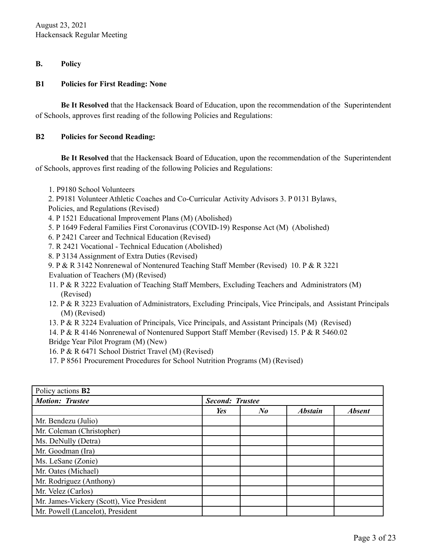## **B. Policy**

## **B1 Policies for First Reading: None**

**Be It Resolved** that the Hackensack Board of Education, upon the recommendation of the Superintendent of Schools, approves first reading of the following Policies and Regulations:

## **B2 Policies for Second Reading:**

**Be It Resolved** that the Hackensack Board of Education, upon the recommendation of the Superintendent of Schools, approves first reading of the following Policies and Regulations:

- 1. P9180 School Volunteers
- 2. P9181 Volunteer Athletic Coaches and Co-Curricular Activity Advisors 3. P 0131 Bylaws,
- Policies, and Regulations (Revised)
- 4. P 1521 Educational Improvement Plans (M) (Abolished)
- 5. P 1649 Federal Families First Coronavirus (COVID-19) Response Act (M) (Abolished)
- 6. P 2421 Career and Technical Education (Revised)
- 7. R 2421 Vocational Technical Education (Abolished)
- 8. P 3134 Assignment of Extra Duties (Revised)
- 9. P & R 3142 Nonrenewal of Nontenured Teaching Staff Member (Revised) 10. P & R 3221
- Evaluation of Teachers (M) (Revised)
- 11. P & R 3222 Evaluation of Teaching Staff Members, Excluding Teachers and Administrators (M) (Revised)
- 12. P & R 3223 Evaluation of Administrators, Excluding Principals, Vice Principals, and Assistant Principals (M) (Revised)
- 13. P & R 3224 Evaluation of Principals, Vice Principals, and Assistant Principals (M) (Revised)
- 14. P & R 4146 Nonrenewal of Nontenured Support Staff Member (Revised) 15. P & R 5460.02 Bridge Year Pilot Program (M) (New)
- 16. P & R 6471 School District Travel (M) (Revised)
- 17. P 8561 Procurement Procedures for School Nutrition Programs (M) (Revised)

| Policy actions <b>B2</b>                  |                        |         |                |               |
|-------------------------------------------|------------------------|---------|----------------|---------------|
| <b>Motion: Trustee</b>                    | <b>Second: Trustee</b> |         |                |               |
|                                           | Yes                    | $N_{0}$ | <b>Abstain</b> | <b>Absent</b> |
| Mr. Bendezu (Julio)                       |                        |         |                |               |
| Mr. Coleman (Christopher)                 |                        |         |                |               |
| Ms. DeNully (Detra)                       |                        |         |                |               |
| Mr. Goodman (Ira)                         |                        |         |                |               |
| Ms. LeSane (Zonie)                        |                        |         |                |               |
| Mr. Oates (Michael)                       |                        |         |                |               |
| Mr. Rodriguez (Anthony)                   |                        |         |                |               |
| Mr. Velez (Carlos)                        |                        |         |                |               |
| Mr. James-Vickery (Scott), Vice President |                        |         |                |               |
| Mr. Powell (Lancelot), President          |                        |         |                |               |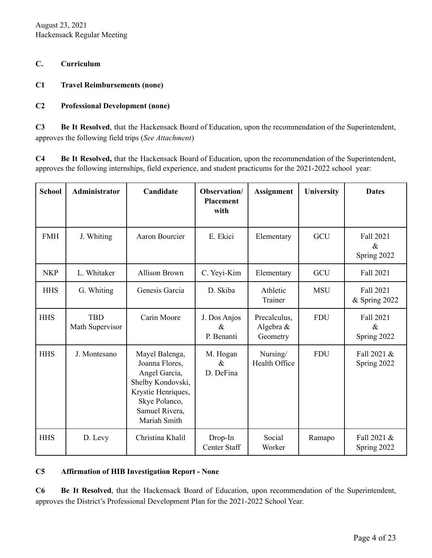August 23, 2021 Hackensack Regular Meeting

### **C. Curriculum**

### **C1 Travel Reimbursements (none)**

## **C2 Professional Development (none)**

**C3 Be It Resolved**, that the Hackensack Board of Education, upon the recommendation of the Superintendent, approves the following field trips (*See Attachment*)

**C4 Be It Resolved,** that the Hackensack Board of Education, upon the recommendation of the Superintendent, approves the following internships, field experience, and student practicums for the 2021-2022 school year:

| <b>School</b> | Administrator                 | Candidate                                                                                                                                       | Observation/<br><b>Placement</b><br>with | <b>Assignment</b>                     | University | <b>Dates</b>                            |
|---------------|-------------------------------|-------------------------------------------------------------------------------------------------------------------------------------------------|------------------------------------------|---------------------------------------|------------|-----------------------------------------|
| <b>FMH</b>    | J. Whiting                    | Aaron Bourcier                                                                                                                                  | E. Ekici                                 | Elementary                            | GCU        | <b>Fall 2021</b><br>$\&$<br>Spring 2022 |
| <b>NKP</b>    | L. Whitaker                   | <b>Allison Brown</b>                                                                                                                            | C. Yeyi-Kim                              | Elementary                            | <b>GCU</b> | Fall 2021                               |
| <b>HHS</b>    | G. Whiting                    | Genesis Garcia                                                                                                                                  | D. Skiba                                 | Athletic<br>Trainer                   | <b>MSU</b> | Fall 2021<br>& Spring 2022              |
| <b>HHS</b>    | <b>TBD</b><br>Math Supervisor | Carin Moore                                                                                                                                     | J. Dos Anjos<br>$\&$<br>P. Benanti       | Precalculus,<br>Algebra &<br>Geometry | <b>FDU</b> | <b>Fall 2021</b><br>$\&$<br>Spring 2022 |
| <b>HHS</b>    | J. Montesano                  | Mayel Balenga,<br>Joanna Flores,<br>Angel Garcia,<br>Shelby Kondovski,<br>Krystie Henriques,<br>Skye Polanco,<br>Samuel Rivera,<br>Mariah Smith | M. Hogan<br>$\&$<br>D. DeFina            | Nursing/<br>Health Office             | <b>FDU</b> | Fall 2021 &<br>Spring 2022              |
| <b>HHS</b>    | D. Levy                       | Christina Khalil                                                                                                                                | Drop-In<br>Center Staff                  | Social<br>Worker                      | Ramapo     | Fall 2021 &<br>Spring 2022              |

#### **C5 Affirmation of HIB Investigation Report - None**

**C6 Be It Resolved**, that the Hackensack Board of Education, upon recommendation of the Superintendent, approves the District's Professional Development Plan for the 2021-2022 School Year.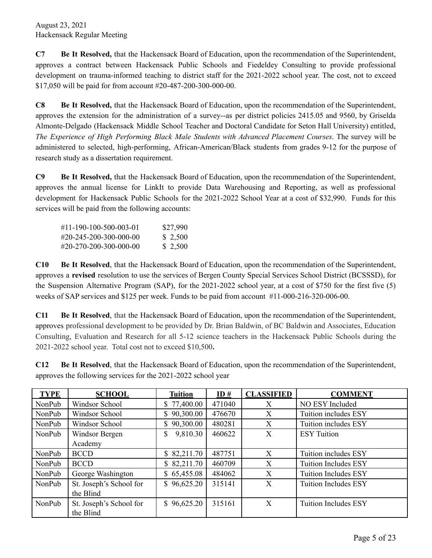**C7 Be It Resolved,** that the Hackensack Board of Education, upon the recommendation of the Superintendent, approves a contract between Hackensack Public Schools and Fiedeldey Consulting to provide professional development on trauma-informed teaching to district staff for the 2021-2022 school year. The cost, not to exceed \$17,050 will be paid for from account #20-487-200-300-000-00.

**C8 Be It Resolved,** that the Hackensack Board of Education, upon the recommendation of the Superintendent, approves the extension for the administration of a survey--as per district policies 2415.05 and 9560, by Griselda Almonte-Delgado (Hackensack Middle School Teacher and Doctoral Candidate for Seton Hall University) entitled, *The Experience of High Performing Black Male Students with Advanced Placement Courses*. The survey will be administered to selected, high-performing, African-American/Black students from grades 9-12 for the purpose of research study as a dissertation requirement.

**C9 Be It Resolved,** that the Hackensack Board of Education, upon the recommendation of the Superintendent, approves the annual license for LinkIt to provide Data Warehousing and Reporting, as well as professional development for Hackensack Public Schools for the 2021-2022 School Year at a cost of \$32,990. Funds for this services will be paid from the following accounts:

| #11-190-100-500-003-01 | \$27,990 |
|------------------------|----------|
| #20-245-200-300-000-00 | \$ 2,500 |
| #20-270-200-300-000-00 | \$ 2,500 |

**C10 Be It Resolved**, that the Hackensack Board of Education, upon the recommendation of the Superintendent, approves a **revised** resolution to use the services of Bergen County Special Services School District (BCSSSD), for the Suspension Alternative Program (SAP), for the 2021-2022 school year, at a cost of \$750 for the first five (5) weeks of SAP services and \$125 per week. Funds to be paid from account #11-000-216-320-006-00.

**C11 Be It Resolved**, that the Hackensack Board of Education, upon the recommendation of the Superintendent, approves professional development to be provided by Dr. Brian Baldwin, of BC Baldwin and Associates, Education Consulting, Evaluation and Research for all 5-12 science teachers in the Hackensack Public Schools during the 2021-2022 school year. Total cost not to exceed \$10,500**.**

**C12 Be It Resolved**, that the Hackensack Board of Education, upon the recommendation of the Superintendent, approves the following services for the 2021-2022 school year

| <b>TYPE</b> | <b>SCHOOL</b>           | <b>Tuition</b> | ID#    | <b>CLASSIFIED</b> | <b>COMMENT</b>              |
|-------------|-------------------------|----------------|--------|-------------------|-----------------------------|
| NonPub      | Windsor School          | \$77,400.00    | 471040 | X                 | NO ESY Included             |
| NonPub      | Windsor School          | \$90,300.00    | 476670 | X                 | Tuition includes ESY        |
| NonPub      | Windsor School          | \$90,300.00    | 480281 | X                 | Tuition includes ESY        |
| NonPub      | Windsor Bergen          | 9,810.30       | 460622 | X                 | <b>ESY</b> Tuition          |
|             | Academy                 |                |        |                   |                             |
| NonPub      | <b>BCCD</b>             | \$82,211.70    | 487751 | $\boldsymbol{X}$  | Tuition includes ESY        |
| NonPub      | <b>BCCD</b>             | \$82,211.70    | 460709 | X                 | <b>Tuition Includes ESY</b> |
| NonPub      | George Washington       | \$65,455.08    | 484062 | X                 | <b>Tuition Includes ESY</b> |
| NonPub      | St. Joseph's School for | \$96,625.20    | 315141 | X                 | <b>Tuition Includes ESY</b> |
|             | the Blind               |                |        |                   |                             |
| NonPub      | St. Joseph's School for | \$96,625.20    | 315161 | X                 | <b>Tuition Includes ESY</b> |
|             | the Blind               |                |        |                   |                             |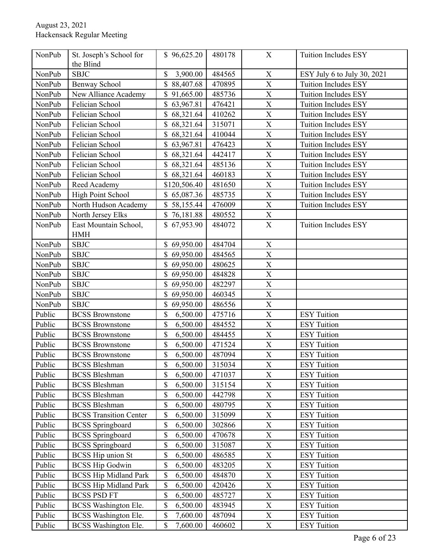| NonPub | St. Joseph's School for<br>the Blind | \$96,625.20              | 480178 | X                         | Tuition Includes ESY        |
|--------|--------------------------------------|--------------------------|--------|---------------------------|-----------------------------|
| NonPub | <b>SBJC</b>                          | \$<br>3,900.00           | 484565 | $\mathbf X$               | ESY July 6 to July 30, 2021 |
| NonPub | Benway School                        | \$88,407.68              | 470895 | $\overline{\text{X}}$     | <b>Tuition Includes ESY</b> |
| NonPub | New Alliance Academy                 | 91,665.00<br>\$          | 485736 | X                         | Tuition Includes ESY        |
| NonPub | Felician School                      | \$<br>63,967.81          | 476421 | $\boldsymbol{\mathrm{X}}$ | Tuition Includes ESY        |
| NonPub | Felician School                      | \$68,321.64              | 410262 | X                         | Tuition Includes ESY        |
| NonPub | Felician School                      | \$<br>68,321.64          | 315071 | $\overline{\text{X}}$     | <b>Tuition Includes ESY</b> |
| NonPub | Felician School                      | 68,321.64<br>\$          | 410044 | $\mathbf X$               | <b>Tuition Includes ESY</b> |
| NonPub | Felician School                      | 63,967.81                | 476423 | X                         | Tuition Includes ESY        |
| NonPub | Felician School                      | \$<br>68,321.64          | 442417 | X                         | Tuition Includes ESY        |
| NonPub | Felician School                      | \$68,321.64              | 485136 | $\overline{\text{X}}$     | Tuition Includes ESY        |
| NonPub | Felician School                      | 68,321.64                | 460183 | X                         | Tuition Includes ESY        |
| NonPub | Reed Academy                         | \$120,506.40             | 481650 | X                         | Tuition Includes ESY        |
| NonPub | High Point School                    | \$65,087.36              | 485735 | $\overline{X}$            | <b>Tuition Includes ESY</b> |
| NonPub | North Hudson Academy                 | \$58,155.44              | 476009 | $\overline{\text{X}}$     | <b>Tuition Includes ESY</b> |
| NonPub | North Jersey Elks                    | \$76,181.88              | 480552 | $\mathbf X$               |                             |
| NonPub | East Mountain School,<br><b>HMH</b>  | \$67,953.90              | 484072 | $\mathbf X$               | Tuition Includes ESY        |
| NonPub | <b>SBJC</b>                          | \$69,950.00              | 484704 | $\mathbf X$               |                             |
| NonPub | <b>SBJC</b>                          | 69,950.00                | 484565 | X                         |                             |
| NonPub | <b>SBJC</b>                          | \$<br>69,950.00          | 480625 | X                         |                             |
| NonPub | <b>SBJC</b>                          | \$69,950.00              | 484828 | $\overline{\mathrm{X}}$   |                             |
| NonPub | <b>SBJC</b>                          | 69,950.00                | 482297 | X                         |                             |
| NonPub | <b>SBJC</b>                          | \$<br>69,950.00          | 460345 | X                         |                             |
| NonPub | <b>SBJC</b>                          | \$<br>69,950.00          | 486556 | X                         |                             |
| Public | <b>BCSS</b> Brownstone               | \$<br>6,500.00           | 475716 | $\overline{\text{X}}$     | <b>ESY</b> Tuition          |
| Public | <b>BCSS Brownstone</b>               | \$<br>6,500.00           | 484552 | $\boldsymbol{\mathrm{X}}$ | <b>ESY</b> Tuition          |
| Public | <b>BCSS</b> Brownstone               | \$<br>6,500.00           | 484455 | X                         | <b>ESY</b> Tuition          |
| Public | <b>BCSS Brownstone</b>               | \$<br>6,500.00           | 471524 | X                         | <b>ESY</b> Tuition          |
| Public | <b>BCSS</b> Brownstone               | \$<br>6,500.00           | 487094 | $\overline{\text{X}}$     | <b>ESY</b> Tuition          |
| Public | <b>BCSS</b> Bleshman                 | $\mathbb{S}$<br>6,500.00 | 315034 | $\mathbf X$               | <b>ESY</b> Tuition          |
| Public | <b>BCSS Bleshman</b>                 | \$<br>6,500.00           | 471037 | X                         | <b>ESY</b> Tuition          |
| Public | <b>BCSS Bleshman</b>                 | \$<br>6,500.00           | 315154 | $\mathbf X$               | <b>ESY</b> Tuition          |
| Public | <b>BCSS Bleshman</b>                 | \$<br>6,500.00           | 442798 | $\boldsymbol{\mathrm{X}}$ | <b>ESY</b> Tuition          |
| Public | <b>BCSS Bleshman</b>                 | \$<br>6,500.00           | 480795 | $\boldsymbol{\mathrm{X}}$ | <b>ESY</b> Tuition          |
| Public | <b>BCSS Transition Center</b>        | \$<br>6,500.00           | 315099 | X                         | <b>ESY</b> Tuition          |
| Public | <b>BCSS</b> Springboard              | \$<br>6,500.00           | 302866 | $\boldsymbol{\mathrm{X}}$ | <b>ESY</b> Tuition          |
| Public | <b>BCSS</b> Springboard              | \$<br>6,500.00           | 470678 | $\overline{\text{X}}$     | <b>ESY</b> Tuition          |
| Public | <b>BCSS</b> Springboard              | \$<br>6,500.00           | 315087 | $\boldsymbol{\mathrm{X}}$ | <b>ESY</b> Tuition          |
| Public | <b>BCSS</b> Hip union St             | \$<br>6,500.00           | 486585 | X                         | <b>ESY</b> Tuition          |
| Public | <b>BCSS Hip Godwin</b>               | \$<br>6,500.00           | 483205 | X                         | <b>ESY</b> Tuition          |
| Public | <b>BCSS Hip Midland Park</b>         | \$<br>6,500.00           | 484870 | $\mathbf X$               | <b>ESY</b> Tuition          |
| Public | <b>BCSS Hip Midland Park</b>         | \$<br>6,500.00           | 420426 | $\boldsymbol{\mathrm{X}}$ | <b>ESY</b> Tuition          |
| Public | <b>BCSS PSD FT</b>                   | \$<br>6,500.00           | 485727 | X                         | <b>ESY</b> Tuition          |
| Public | <b>BCSS</b> Washington Ele.          | \$<br>6,500.00           | 483945 | $\boldsymbol{\mathrm{X}}$ | <b>ESY</b> Tuition          |
| Public | <b>BCSS</b> Washington Ele.          | \$<br>7,600.00           | 487094 | X                         | <b>ESY</b> Tuition          |
| Public | <b>BCSS</b> Washington Ele.          | \$<br>7,600.00           | 460602 | X                         | <b>ESY</b> Tuition          |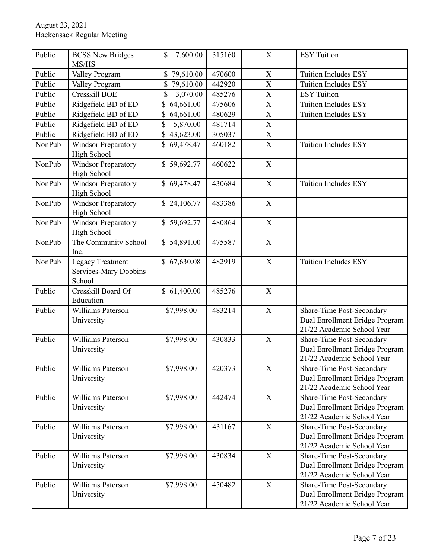| Public | <b>BCSS New Bridges</b><br>MS/HS                    | 7,600.00<br>\$           | 315160 | $\boldsymbol{\mathrm{X}}$ | <b>ESY</b> Tuition                                                                               |
|--------|-----------------------------------------------------|--------------------------|--------|---------------------------|--------------------------------------------------------------------------------------------------|
| Public | Valley Program                                      | \$79,610.00              | 470600 | X                         | <b>Tuition Includes ESY</b>                                                                      |
| Public | Valley Program                                      | \$<br>79,610.00          | 442920 | $\overline{\text{X}}$     | Tuition Includes ESY                                                                             |
| Public | <b>Cresskill BOE</b>                                | \$<br>3,070.00           | 485276 | $\overline{\text{X}}$     | <b>ESY</b> Tuition                                                                               |
| Public | Ridgefield BD of ED                                 | 64,661.00<br>\$          | 475606 | X                         | Tuition Includes ESY                                                                             |
| Public | Ridgefield BD of ED                                 | 64,661.00                | 480629 | X                         | Tuition Includes ESY                                                                             |
| Public | Ridgefield BD of ED                                 | \$<br>5,870.00           | 481714 | $\mathbf X$               |                                                                                                  |
| Public | Ridgefield BD of ED                                 | $\mathbf S$<br>43,623.00 | 305037 | $\overline{\text{X}}$     |                                                                                                  |
| NonPub | <b>Windsor Preparatory</b><br><b>High School</b>    | \$69,478.47              | 460182 | $\bar{X}$                 | Tuition Includes ESY                                                                             |
| NonPub | <b>Windsor Preparatory</b><br>High School           | \$59,692.77              | 460622 | $\mathbf X$               |                                                                                                  |
| NonPub | <b>Windsor Preparatory</b><br>High School           | \$69,478.47              | 430684 | $\mathbf X$               | <b>Tuition Includes ESY</b>                                                                      |
| NonPub | <b>Windsor Preparatory</b><br><b>High School</b>    | \$24,106.77              | 483386 | $\mathbf X$               |                                                                                                  |
| NonPub | Windsor Preparatory<br>High School                  | \$59,692.77              | 480864 | $\boldsymbol{\mathrm{X}}$ |                                                                                                  |
| NonPub | The Community School<br>Inc.                        | \$54,891.00              | 475587 | $\mathbf X$               |                                                                                                  |
| NonPub | Legacy Treatment<br>Services-Mary Dobbins<br>School | \$67,630.08              | 482919 | $\mathbf X$               | <b>Tuition Includes ESY</b>                                                                      |
| Public | Cresskill Board Of<br>Education                     | \$61,400.00              | 485276 | $\mathbf X$               |                                                                                                  |
| Public | Williams Paterson<br>University                     | \$7,998.00               | 483214 | $\mathbf X$               | Share-Time Post-Secondary<br>Dual Enrollment Bridge Program<br>21/22 Academic School Year        |
| Public | Williams Paterson<br>University                     | \$7,998.00               | 430833 | $\mathbf X$               | Share-Time Post-Secondary<br>Dual Enrollment Bridge Program<br>21/22 Academic School Year        |
| Public | Williams Paterson<br>University                     | \$7,998.00               | 420373 | $\boldsymbol{\mathrm{X}}$ | Share-Time Post-Secondary<br>Dual Enrollment Bridge Program<br>21/22 Academic School Year        |
| Public | Williams Paterson<br>University                     | \$7,998.00               | 442474 | $\boldsymbol{\mathrm{X}}$ | Share-Time Post-Secondary<br>Dual Enrollment Bridge Program<br>21/22 Academic School Year        |
| Public | Williams Paterson<br>University                     | \$7,998.00               | 431167 | $\mathbf X$               | Share-Time Post-Secondary<br>Dual Enrollment Bridge Program<br>21/22 Academic School Year        |
| Public | Williams Paterson<br>University                     | \$7,998.00               | 430834 | $\mathbf X$               | <b>Share-Time Post-Secondary</b><br>Dual Enrollment Bridge Program<br>21/22 Academic School Year |
| Public | Williams Paterson<br>University                     | \$7,998.00               | 450482 | $\mathbf X$               | Share-Time Post-Secondary<br>Dual Enrollment Bridge Program<br>21/22 Academic School Year        |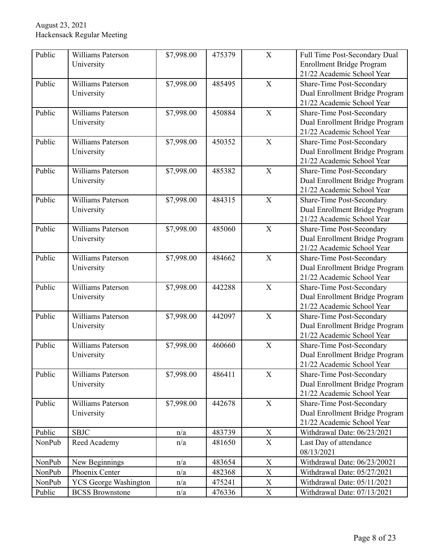| Public | Williams Paterson            | \$7,998.00 | 475379 | $\mathbf X$ | Full Time Post-Secondary Dual    |
|--------|------------------------------|------------|--------|-------------|----------------------------------|
|        | University                   |            |        |             | Enrollment Bridge Program        |
|        |                              |            |        |             | 21/22 Academic School Year       |
| Public | Williams Paterson            | \$7,998.00 | 485495 | $\mathbf X$ | Share-Time Post-Secondary        |
|        | University                   |            |        |             | Dual Enrollment Bridge Program   |
|        |                              |            |        |             | 21/22 Academic School Year       |
| Public | Williams Paterson            | \$7,998.00 | 450884 | X           | Share-Time Post-Secondary        |
|        | University                   |            |        |             | Dual Enrollment Bridge Program   |
|        |                              |            |        |             | 21/22 Academic School Year       |
| Public | Williams Paterson            | \$7,998.00 | 450352 | X           | Share-Time Post-Secondary        |
|        | University                   |            |        |             | Dual Enrollment Bridge Program   |
|        |                              |            |        |             | 21/22 Academic School Year       |
| Public | Williams Paterson            | \$7,998.00 | 485382 | X           | Share-Time Post-Secondary        |
|        | University                   |            |        |             | Dual Enrollment Bridge Program   |
|        |                              |            |        |             | 21/22 Academic School Year       |
| Public | Williams Paterson            | \$7,998.00 | 484315 | X           | Share-Time Post-Secondary        |
|        | University                   |            |        |             | Dual Enrollment Bridge Program   |
|        |                              |            |        |             | 21/22 Academic School Year       |
| Public | Williams Paterson            | \$7,998.00 | 485060 | X           | <b>Share-Time Post-Secondary</b> |
|        | University                   |            |        |             | Dual Enrollment Bridge Program   |
|        |                              |            |        |             | 21/22 Academic School Year       |
| Public | Williams Paterson            | \$7,998.00 | 484662 | X           | Share-Time Post-Secondary        |
|        | University                   |            |        |             | Dual Enrollment Bridge Program   |
|        |                              |            |        |             | 21/22 Academic School Year       |
| Public | Williams Paterson            | \$7,998.00 | 442288 | $\mathbf X$ | Share-Time Post-Secondary        |
|        | University                   |            |        |             | Dual Enrollment Bridge Program   |
|        |                              |            |        |             | 21/22 Academic School Year       |
| Public | Williams Paterson            | \$7,998.00 | 442097 | $\mathbf X$ | Share-Time Post-Secondary        |
|        | University                   |            |        |             | Dual Enrollment Bridge Program   |
|        |                              |            |        |             | 21/22 Academic School Year       |
| Public | Williams Paterson            | \$7,998.00 | 460660 | X           | <b>Share-Time Post-Secondary</b> |
|        | University                   |            |        |             | Dual Enrollment Bridge Program   |
|        |                              |            |        |             | 21/22 Academic School Year       |
| Public | Williams Paterson            | \$7,998.00 | 486411 | $\mathbf X$ | Share-Time Post-Secondary        |
|        | University                   |            |        |             | Dual Enrollment Bridge Program   |
|        |                              |            |        |             | 21/22 Academic School Year       |
| Public | Williams Paterson            | \$7,998.00 | 442678 | $\mathbf X$ | Share-Time Post-Secondary        |
|        | University                   |            |        |             | Dual Enrollment Bridge Program   |
|        |                              |            |        |             | 21/22 Academic School Year       |
| Public | <b>SBJC</b>                  | n/a        | 483739 | $\mathbf X$ | Withdrawal Date: 06/23/2021      |
| NonPub | Reed Academy                 | n/a        | 481650 | $\mathbf X$ | Last Day of attendance           |
|        |                              |            |        |             | 08/13/2021                       |
| NonPub | New Beginnings               | n/a        | 483654 | $\mathbf X$ | Withdrawal Date: 06/23/20021     |
| NonPub | Phoenix Center               | n/a        | 482368 | $\mathbf X$ | Withdrawal Date: 05/27/2021      |
| NonPub | <b>YCS</b> George Washington | n/a        | 475241 | $\mathbf X$ | Withdrawal Date: 05/11/2021      |
| Public | <b>BCSS</b> Brownstone       | n/a        | 476336 | $\mathbf X$ | Withdrawal Date: 07/13/2021      |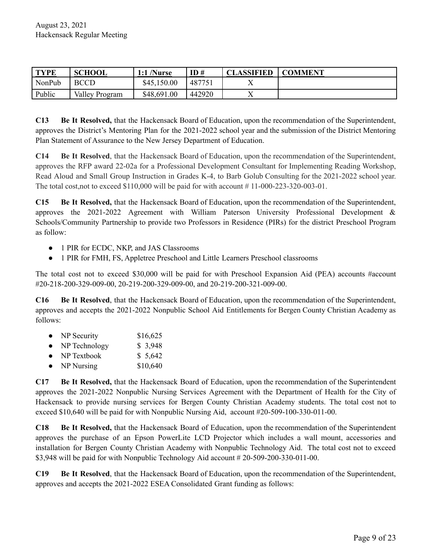| <b>TYPE</b> | <b>SCHOOL</b>  | $1:1$ /Nurse | ID#    | <b>CLASSIFIED</b> | <b>COMMENT</b> |
|-------------|----------------|--------------|--------|-------------------|----------------|
| NonPub      | <b>BCCD</b>    | \$45,150.00  | 487751 |                   |                |
| Public      | Valley Program | \$48,691.00  | 442920 |                   |                |

**C13 Be It Resolved,** that the Hackensack Board of Education, upon the recommendation of the Superintendent, approves the District's Mentoring Plan for the 2021-2022 school year and the submission of the District Mentoring Plan Statement of Assurance to the New Jersey Department of Education.

**C14 Be It Resolved**, that the Hackensack Board of Education, upon the recommendation of the Superintendent, approves the RFP award 22-02a for a Professional Development Consultant for Implementing Reading Workshop, Read Aloud and Small Group Instruction in Grades K-4, to Barb Golub Consulting for the 2021-2022 school year. The total cost,not to exceed \$110,000 will be paid for with account # 11-000-223-320-003-01.

**C15 Be It Resolved,** that the Hackensack Board of Education, upon the recommendation of the Superintendent, approves the 2021-2022 Agreement with William Paterson University Professional Development & Schools/Community Partnership to provide two Professors in Residence (PIRs) for the district Preschool Program as follow:

- 1 PIR for ECDC, NKP, and JAS Classrooms
- 1 PIR for FMH, FS, Appletree Preschool and Little Learners Preschool classrooms

The total cost not to exceed \$30,000 will be paid for with Preschool Expansion Aid (PEA) accounts #account #20-218-200-329-009-00, 20-219-200-329-009-00, and 20-219-200-321-009-00.

**C16 Be It Resolved**, that the Hackensack Board of Education, upon the recommendation of the Superintendent, approves and accepts the 2021-2022 Nonpublic School Aid Entitlements for Bergen County Christian Academy as follows:

- NP Security  $$16,625$
- NP Technology \$ 3,948
- NP Textbook  $$5,642$
- $NP$  Nursing  $$10,640$

**C17 Be It Resolved,** that the Hackensack Board of Education, upon the recommendation of the Superintendent approves the 2021-2022 Nonpublic Nursing Services Agreement with the Department of Health for the City of Hackensack to provide nursing services for Bergen County Christian Academy students. The total cost not to exceed \$10,640 will be paid for with Nonpublic Nursing Aid, account #20-509-100-330-011-00.

**C18 Be It Resolved,** that the Hackensack Board of Education, upon the recommendation of the Superintendent approves the purchase of an Epson PowerLite LCD Projector which includes a wall mount, accessories and installation for Bergen County Christian Academy with Nonpublic Technology Aid. The total cost not to exceed \$3,948 will be paid for with Nonpublic Technology Aid account # 20-509-200-330-011-00.

**C19 Be It Resolved**, that the Hackensack Board of Education, upon the recommendation of the Superintendent, approves and accepts the 2021-2022 ESEA Consolidated Grant funding as follows: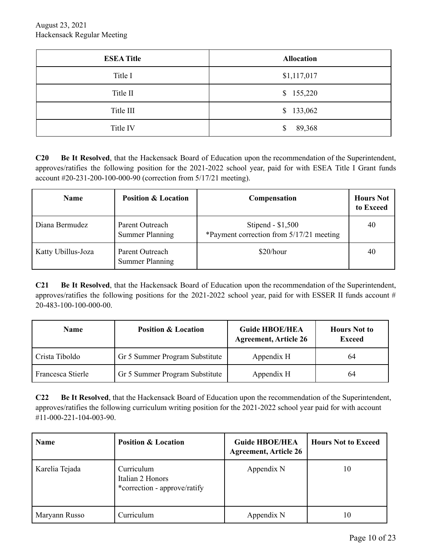| <b>ESEA Title</b> | <b>Allocation</b> |
|-------------------|-------------------|
| Title I           | \$1,117,017       |
| Title II          | \$155,220         |
| Title III         | \$133,062         |
| Title IV          | 89,368<br>\$      |

**C20 Be It Resolved**, that the Hackensack Board of Education upon the recommendation of the Superintendent, approves/ratifies the following position for the 2021-2022 school year, paid for with ESEA Title I Grant funds account #20-231-200-100-000-90 (correction from 5/17/21 meeting).

| <b>Name</b>        | <b>Position &amp; Location</b>            | Compensation                                                   | <b>Hours Not</b><br>to Exceed |
|--------------------|-------------------------------------------|----------------------------------------------------------------|-------------------------------|
| Diana Bermudez     | Parent Outreach<br><b>Summer Planning</b> | Stipend - $$1,500$<br>*Payment correction from 5/17/21 meeting | 40                            |
| Katty Ubillus-Joza | Parent Outreach<br><b>Summer Planning</b> | \$20/hour                                                      | 40                            |

**C21 Be It Resolved**, that the Hackensack Board of Education upon the recommendation of the Superintendent, approves/ratifies the following positions for the  $2021-2022$  school year, paid for with ESSER II funds account # 20-483-100-100-000-00.

| <b>Name</b>       | <b>Position &amp; Location</b> | <b>Guide HBOE/HEA</b><br><b>Agreement, Article 26</b> | <b>Hours</b> Not to<br><b>Exceed</b> |  |
|-------------------|--------------------------------|-------------------------------------------------------|--------------------------------------|--|
| Crista Tiboldo    | Gr 5 Summer Program Substitute | Appendix H                                            | 64                                   |  |
| Francesca Stierle | Gr 5 Summer Program Substitute | Appendix H                                            | 64                                   |  |

**C22 Be It Resolved**, that the Hackensack Board of Education upon the recommendation of the Superintendent, approves/ratifies the following curriculum writing position for the 2021-2022 school year paid for with account #11-000-221-104-003-90.

| <b>Name</b>    | <b>Position &amp; Location</b>                                 | <b>Guide HBOE/HEA</b><br><b>Agreement, Article 26</b> | <b>Hours Not to Exceed</b> |
|----------------|----------------------------------------------------------------|-------------------------------------------------------|----------------------------|
| Karelia Tejada | Curriculum<br>Italian 2 Honors<br>*correction - approve/ratify | Appendix N                                            | 10                         |
| Maryann Russo  | Curriculum                                                     | Appendix N                                            | 10                         |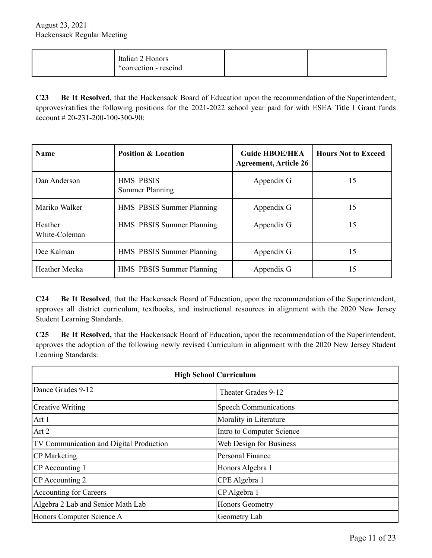| Italian 2 Honors<br>*correction - rescind |  |
|-------------------------------------------|--|
|                                           |  |

**C23 Be It Resolved**, that the Hackensack Board of Education upon the recommendation of the Superintendent, approves/ratifies the following positions for the 2021-2022 school year paid for with ESEA Title I Grant funds account  $\# 20 - 231 - 200 - 100 - 300 - 90$ :

| <b>Name</b>              | <b>Position &amp; Location</b>             | <b>Guide HBOE/HEA</b><br><b>Agreement, Article 26</b> | <b>Hours Not to Exceed</b> |
|--------------------------|--------------------------------------------|-------------------------------------------------------|----------------------------|
| Dan Anderson             | <b>HMS PBSIS</b><br><b>Summer Planning</b> | Appendix G                                            | 15                         |
| Mariko Walker            | HMS PBSIS Summer Planning                  | Appendix G                                            | 15                         |
| Heather<br>White-Coleman | HMS PBSIS Summer Planning                  | Appendix G                                            | 15                         |
| Dee Kalman               | HMS PBSIS Summer Planning                  | Appendix G                                            | 15                         |
| Heather Mecka            | HMS PBSIS Summer Planning                  | Appendix G                                            | 15                         |

**C24 Be It Resolved**, that the Hackensack Board of Education, upon the recommendation of the Superintendent, approves all district curriculum, textbooks, and instructional resources in alignment with the 2020 New Jersey Student Learning Standards.

**C25 Be It Resolved,** that the Hackensack Board of Education, upon the recommendation of the Superintendent, approves the adoption of the following newly revised Curriculum in alignment with the 2020 New Jersey Student Learning Standards:

| <b>High School Curriculum</b>                  |                              |  |  |
|------------------------------------------------|------------------------------|--|--|
| Dance Grades 9-12<br>Theater Grades 9-12       |                              |  |  |
| <b>Creative Writing</b>                        | <b>Speech Communications</b> |  |  |
| Art 1                                          | Morality in Literature       |  |  |
| Art 2                                          | Intro to Computer Science    |  |  |
| <b>TV Communication and Digital Production</b> | Web Design for Business      |  |  |
| <b>CP</b> Marketing                            | Personal Finance             |  |  |
| CP Accounting 1                                | Honors Algebra 1             |  |  |
| CP Accounting 2                                | CPE Algebra 1                |  |  |
| <b>Accounting for Careers</b>                  | CP Algebra 1                 |  |  |
| Algebra 2 Lab and Senior Math Lab              | <b>Honors Geometry</b>       |  |  |
| Honors Computer Science A                      | Geometry Lab                 |  |  |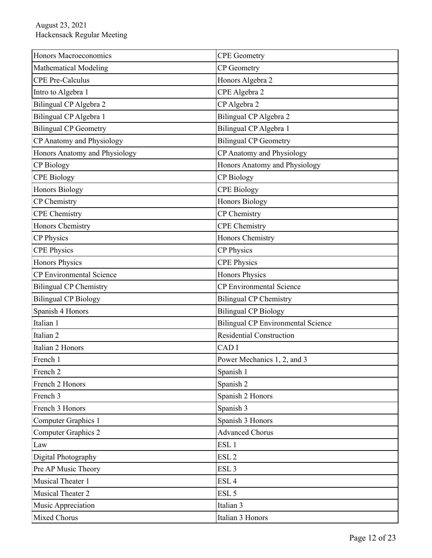| Honors Macroeconomics                        | <b>CPE</b> Geometry                       |  |  |
|----------------------------------------------|-------------------------------------------|--|--|
| <b>Mathematical Modeling</b>                 | <b>CP</b> Geometry                        |  |  |
| <b>CPE Pre-Calculus</b>                      | Honors Algebra 2                          |  |  |
| Intro to Algebra 1                           | CPE Algebra 2                             |  |  |
| Bilingual CP Algebra 2                       | CP Algebra 2                              |  |  |
| Bilingual CP Algebra 1                       | Bilingual CP Algebra 2                    |  |  |
| <b>Bilingual CP Geometry</b>                 | Bilingual CP Algebra 1                    |  |  |
| CP Anatomy and Physiology                    | <b>Bilingual CP Geometry</b>              |  |  |
| Honors Anatomy and Physiology                | CP Anatomy and Physiology                 |  |  |
| <b>CP</b> Biology                            | Honors Anatomy and Physiology             |  |  |
| <b>CPE Biology</b>                           | <b>CP</b> Biology                         |  |  |
| <b>Honors Biology</b>                        | <b>CPE Biology</b>                        |  |  |
| CP Chemistry                                 | <b>Honors Biology</b>                     |  |  |
| <b>CPE</b> Chemistry                         | <b>CP</b> Chemistry                       |  |  |
| Honors Chemistry                             | <b>CPE</b> Chemistry                      |  |  |
| CP Physics                                   | Honors Chemistry                          |  |  |
| <b>CPE Physics</b>                           | <b>CP Physics</b>                         |  |  |
| <b>Honors Physics</b>                        | <b>CPE Physics</b>                        |  |  |
| <b>CP</b> Environmental Science              | Honors Physics                            |  |  |
| <b>Bilingual CP Chemistry</b>                | <b>CP</b> Environmental Science           |  |  |
| <b>Bilingual CP Biology</b>                  | <b>Bilingual CP Chemistry</b>             |  |  |
| Spanish 4 Honors                             | <b>Bilingual CP Biology</b>               |  |  |
| Italian 1                                    | <b>Bilingual CP Environmental Science</b> |  |  |
| Italian <sub>2</sub>                         | Residential Construction                  |  |  |
| Italian 2 Honors                             | CAD <sub>I</sub>                          |  |  |
| French 1                                     | Power Mechanics 1, 2, and 3               |  |  |
| French <sub>2</sub>                          | Spanish 1                                 |  |  |
| French 2 Honors                              | Spanish 2                                 |  |  |
| French 3                                     | Spanish 2 Honors                          |  |  |
| French 3 Honors                              | Spanish 3                                 |  |  |
| Computer Graphics 1                          | Spanish 3 Honors                          |  |  |
| <b>Computer Graphics 2</b>                   | <b>Advanced Chorus</b>                    |  |  |
| Law                                          | ESL <sub>1</sub>                          |  |  |
| Digital Photography                          | ESL <sub>2</sub>                          |  |  |
| Pre AP Music Theory                          | ESL <sub>3</sub>                          |  |  |
| Musical Theater 1                            | ESL <sub>4</sub>                          |  |  |
| ESL <sub>5</sub><br><b>Musical Theater 2</b> |                                           |  |  |
| Music Appreciation                           | Italian 3                                 |  |  |
| <b>Mixed Chorus</b>                          | Italian 3 Honors                          |  |  |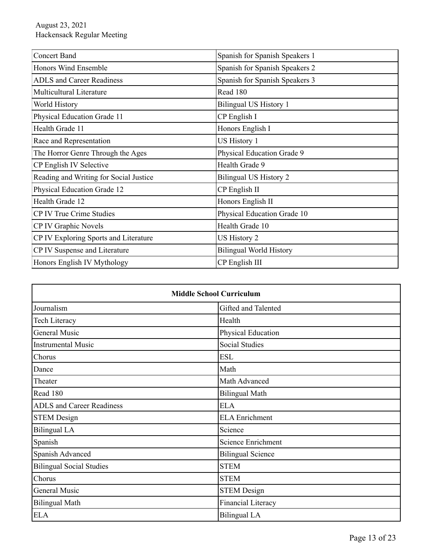| <b>Concert Band</b>                    | Spanish for Spanish Speakers 1 |  |  |
|----------------------------------------|--------------------------------|--|--|
| Honors Wind Ensemble                   | Spanish for Spanish Speakers 2 |  |  |
| <b>ADLS</b> and Career Readiness       | Spanish for Spanish Speakers 3 |  |  |
| <b>Multicultural Literature</b>        | Read 180                       |  |  |
| World History                          | Bilingual US History 1         |  |  |
| Physical Education Grade 11            | CP English I                   |  |  |
| Health Grade 11                        | Honors English I               |  |  |
| Race and Representation                | US History 1                   |  |  |
| The Horror Genre Through the Ages      | Physical Education Grade 9     |  |  |
| CP English IV Selective                | Health Grade 9                 |  |  |
| Reading and Writing for Social Justice | <b>Bilingual US History 2</b>  |  |  |
| Physical Education Grade 12            | CP English II                  |  |  |
| Health Grade 12                        | Honors English II              |  |  |
| CP IV True Crime Studies               | Physical Education Grade 10    |  |  |
| CP IV Graphic Novels                   | Health Grade 10                |  |  |
| CP IV Exploring Sports and Literature  | US History 2                   |  |  |
| CP IV Suspense and Literature          | <b>Bilingual World History</b> |  |  |
| Honors English IV Mythology            | CP English III                 |  |  |

| <b>Middle School Curriculum</b>  |                           |  |
|----------------------------------|---------------------------|--|
| Journalism                       | Gifted and Talented       |  |
| <b>Tech Literacy</b>             | Health                    |  |
| General Music                    | Physical Education        |  |
| <b>Instrumental Music</b>        | Social Studies            |  |
| Chorus                           | <b>ESL</b>                |  |
| Dance                            | Math                      |  |
| Theater                          | Math Advanced             |  |
| Read 180                         | <b>Bilingual Math</b>     |  |
| <b>ADLS</b> and Career Readiness | <b>ELA</b>                |  |
| <b>STEM Design</b>               | <b>ELA</b> Enrichment     |  |
| <b>Bilingual LA</b>              | Science                   |  |
| Spanish                          | <b>Science Enrichment</b> |  |
| Spanish Advanced                 | <b>Bilingual Science</b>  |  |
| <b>Bilingual Social Studies</b>  | <b>STEM</b>               |  |
| Chorus                           | <b>STEM</b>               |  |
| <b>General Music</b>             | <b>STEM Design</b>        |  |
| <b>Bilingual Math</b>            | <b>Financial Literacy</b> |  |
| <b>ELA</b>                       | <b>Bilingual LA</b>       |  |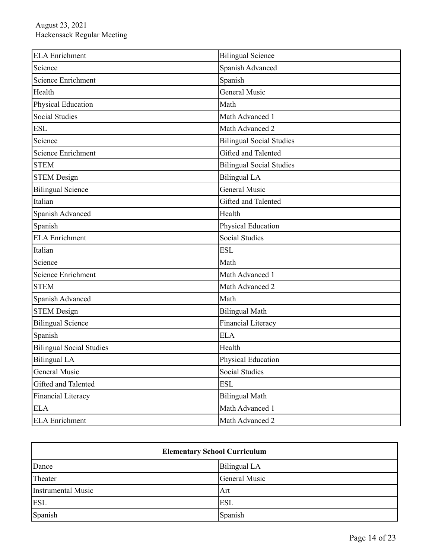| <b>ELA</b> Enrichment           | <b>Bilingual Science</b>        |
|---------------------------------|---------------------------------|
| Science                         | Spanish Advanced                |
| <b>Science Enrichment</b>       | Spanish                         |
| Health                          | General Music                   |
| Physical Education              | Math                            |
| <b>Social Studies</b>           | Math Advanced 1                 |
| <b>ESL</b>                      | Math Advanced 2                 |
| Science                         | <b>Bilingual Social Studies</b> |
| <b>Science Enrichment</b>       | Gifted and Talented             |
| <b>STEM</b>                     | <b>Bilingual Social Studies</b> |
| <b>STEM Design</b>              | <b>Bilingual LA</b>             |
| <b>Bilingual Science</b>        | General Music                   |
| Italian                         | Gifted and Talented             |
| <b>Spanish Advanced</b>         | Health                          |
| Spanish                         | Physical Education              |
| <b>ELA</b> Enrichment           | <b>Social Studies</b>           |
| Italian                         | <b>ESL</b>                      |
| Science                         | Math                            |
| <b>Science Enrichment</b>       | Math Advanced 1                 |
| <b>STEM</b>                     | Math Advanced 2                 |
| Spanish Advanced                | Math                            |
| <b>STEM Design</b>              | <b>Bilingual Math</b>           |
| <b>Bilingual Science</b>        | Financial Literacy              |
| Spanish                         | <b>ELA</b>                      |
| <b>Bilingual Social Studies</b> | Health                          |
| <b>Bilingual LA</b>             | Physical Education              |
| General Music                   | Social Studies                  |
| Gifted and Talented             | <b>ESL</b>                      |
| Financial Literacy              | <b>Bilingual Math</b>           |
| <b>ELA</b>                      | Math Advanced 1                 |
| <b>ELA</b> Enrichment           | Math Advanced 2                 |

| <b>Elementary School Curriculum</b> |               |  |
|-------------------------------------|---------------|--|
| Dance                               | Bilingual LA  |  |
| Theater                             | General Music |  |
| <b>Instrumental Music</b>           | Art           |  |
| <b>ESL</b>                          | <b>ESL</b>    |  |
| Spanish                             | Spanish       |  |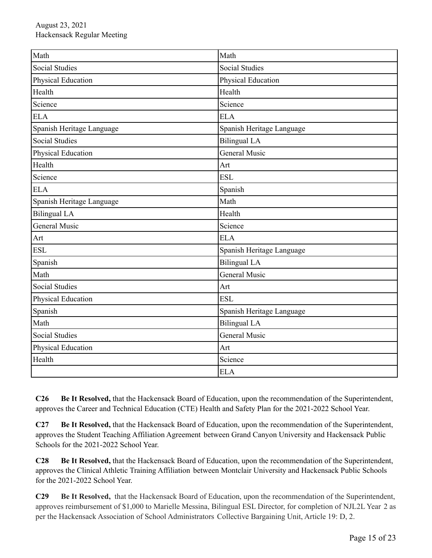| Math                      | Math                      |  |
|---------------------------|---------------------------|--|
| <b>Social Studies</b>     | <b>Social Studies</b>     |  |
| Physical Education        | Physical Education        |  |
| Health                    | Health                    |  |
| Science                   | Science                   |  |
| <b>ELA</b>                | <b>ELA</b>                |  |
| Spanish Heritage Language | Spanish Heritage Language |  |
| <b>Social Studies</b>     | <b>Bilingual LA</b>       |  |
| Physical Education        | General Music             |  |
| Health                    | Art                       |  |
| Science                   | <b>ESL</b>                |  |
| <b>ELA</b>                | Spanish                   |  |
| Spanish Heritage Language | Math                      |  |
| <b>Bilingual LA</b>       | Health                    |  |
| General Music             | Science                   |  |
| Art                       | <b>ELA</b>                |  |
| <b>ESL</b>                | Spanish Heritage Language |  |
| Spanish                   | <b>Bilingual LA</b>       |  |
| Math                      | <b>General Music</b>      |  |
| <b>Social Studies</b>     | Art                       |  |
| Physical Education        | <b>ESL</b>                |  |
| Spanish                   | Spanish Heritage Language |  |
| Math                      | <b>Bilingual LA</b>       |  |
| <b>Social Studies</b>     | <b>General Music</b>      |  |
| <b>Physical Education</b> | Art                       |  |
| Health<br>Science         |                           |  |
|                           | <b>ELA</b>                |  |

**C26 Be It Resolved,** that the Hackensack Board of Education, upon the recommendation of the Superintendent, approves the Career and Technical Education (CTE) Health and Safety Plan for the 2021-2022 School Year.

**C27 Be It Resolved,** that the Hackensack Board of Education, upon the recommendation of the Superintendent, approves the Student Teaching Affiliation Agreement between Grand Canyon University and Hackensack Public Schools for the 2021-2022 School Year.

**C28 Be It Resolved,** that the Hackensack Board of Education, upon the recommendation of the Superintendent, approves the Clinical Athletic Training Affiliation between Montclair University and Hackensack Public Schools for the 2021-2022 School Year.

**C29 Be It Resolved,** that the Hackensack Board of Education, upon the recommendation of the Superintendent, approves reimbursement of \$1,000 to Marielle Messina, Bilingual ESL Director, for completion of NJL2L Year 2 as per the Hackensack Association of School Administrators Collective Bargaining Unit, Article 19: D, 2.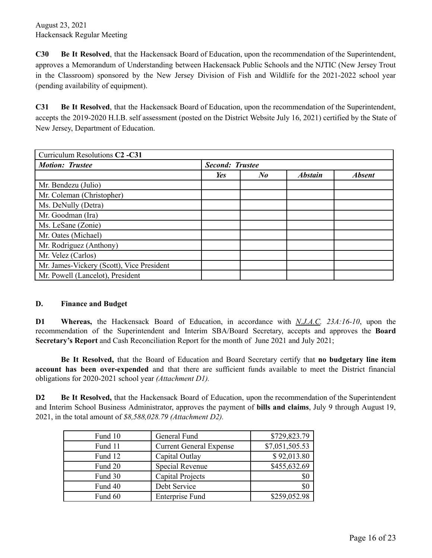**C30 Be It Resolved**, that the Hackensack Board of Education, upon the recommendation of the Superintendent, approves a Memorandum of Understanding between Hackensack Public Schools and the NJTIC (New Jersey Trout in the Classroom) sponsored by the New Jersey Division of Fish and Wildlife for the 2021-2022 school year (pending availability of equipment).

**C31 Be It Resolved**, that the Hackensack Board of Education, upon the recommendation of the Superintendent, accepts the 2019-2020 H.I.B. self assessment (posted on the District Website July 16, 2021) certified by the State of New Jersey, Department of Education.

| Curriculum Resolutions C <sub>2</sub> -C <sub>31</sub> |                        |                      |                |               |
|--------------------------------------------------------|------------------------|----------------------|----------------|---------------|
| <b>Motion: Trustee</b>                                 | <b>Second: Trustee</b> |                      |                |               |
|                                                        | Yes                    | $N_{\boldsymbol{0}}$ | <b>Abstain</b> | <b>Absent</b> |
| Mr. Bendezu (Julio)                                    |                        |                      |                |               |
| Mr. Coleman (Christopher)                              |                        |                      |                |               |
| Ms. DeNully (Detra)                                    |                        |                      |                |               |
| Mr. Goodman (Ira)                                      |                        |                      |                |               |
| Ms. LeSane (Zonie)                                     |                        |                      |                |               |
| Mr. Oates (Michael)                                    |                        |                      |                |               |
| Mr. Rodriguez (Anthony)                                |                        |                      |                |               |
| Mr. Velez (Carlos)                                     |                        |                      |                |               |
| Mr. James-Vickery (Scott), Vice President              |                        |                      |                |               |
| Mr. Powell (Lancelot), President                       |                        |                      |                |               |

#### **D. Finance and Budget**

**D1 Whereas,** the Hackensack Board of Education, in accordance with *N.J.A.C. 23A:16-10*, upon the recommendation of the Superintendent and Interim SBA/Board Secretary, accepts and approves the **Board Secretary's Report** and Cash Reconciliation Report for the month of June 2021 and July 2021;

**Be It Resolved,** that the Board of Education and Board Secretary certify that **no budgetary line item account has been over-expended** and that there are sufficient funds available to meet the District financial obligations for 2020-2021 school year *(Attachment D1).*

**D2 Be It Resolved,** that the Hackensack Board of Education, upon the recommendation of the Superintendent and Interim School Business Administrator, approves the payment of **bills and claims**, July 9 through August 19, 2021, in the total amount of *\$8,588,028.79 (Attachment D2).*

| Fund 10 | General Fund                   | \$729,823.79   |
|---------|--------------------------------|----------------|
| Fund 11 | <b>Current General Expense</b> | \$7,051,505.53 |
| Fund 12 | Capital Outlay                 | \$92,013.80    |
| Fund 20 | Special Revenue                | \$455,632.69   |
| Fund 30 | Capital Projects               | \$0            |
| Fund 40 | Debt Service                   | \$0            |
| Fund 60 | <b>Enterprise Fund</b>         | \$259,052.98   |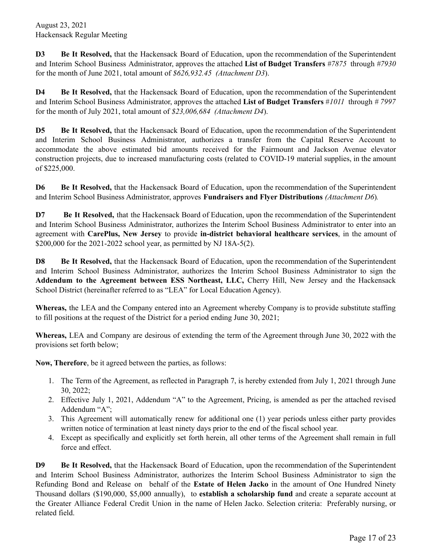**D3 Be It Resolved,** that the Hackensack Board of Education, upon the recommendation of the Superintendent and Interim School Business Administrator, approves the attached **List of Budget Transfers** *#7875* through *#7930* for the month of June 2021, total amount of *\$626,932.45 (Attachment D3*).

**D4 Be It Resolved,** that the Hackensack Board of Education, upon the recommendation of the Superintendent and Interim School Business Administrator, approves the attached **List of Budget Transfers** #*1011* through *# 7997* for the month of July 2021, total amount of *\$23,006,684 (Attachment D4*).

**D5 Be It Resolved,** that the Hackensack Board of Education, upon the recommendation of the Superintendent and Interim School Business Administrator, authorizes a transfer from the Capital Reserve Account to accommodate the above estimated bid amounts received for the Fairmount and Jackson Avenue elevator construction projects, due to increased manufacturing costs (related to COVID-19 material supplies, in the amount of \$225,000.

**D6 Be It Resolved,** that the Hackensack Board of Education, upon the recommendation of the Superintendent and Interim School Business Administrator, approves **Fundraisers and Flyer Distributions** *(Attachment D6*)*.*

**D7 Be It Resolved,** that the Hackensack Board of Education, upon the recommendation of the Superintendent and Interim School Business Administrator, authorizes the Interim School Business Administrator to enter into an agreement with **CarePlus, New Jersey** to provide **in-district behavioral healthcare services**, in the amount of \$200,000 for the 2021-2022 school year, as permitted by NJ 18A-5(2).

**D8 Be It Resolved,** that the Hackensack Board of Education, upon the recommendation of the Superintendent and Interim School Business Administrator, authorizes the Interim School Business Administrator to sign the **Addendum to the Agreement between ESS Northeast, LLC,** Cherry Hill, New Jersey and the Hackensack School District (hereinafter referred to as "LEA" for Local Education Agency).

**Whereas,** the LEA and the Company entered into an Agreement whereby Company is to provide substitute staffing to fill positions at the request of the District for a period ending June 30, 2021;

**Whereas,** LEA and Company are desirous of extending the term of the Agreement through June 30, 2022 with the provisions set forth below;

**Now, Therefore**, be it agreed between the parties, as follows:

- 1. The Term of the Agreement, as reflected in Paragraph 7, is hereby extended from July 1, 2021 through June 30, 2022;
- 2. Effective July 1, 2021, Addendum "A" to the Agreement, Pricing, is amended as per the attached revised Addendum "A";
- 3. This Agreement will automatically renew for additional one (1) year periods unless either party provides written notice of termination at least ninety days prior to the end of the fiscal school year.
- 4. Except as specifically and explicitly set forth herein, all other terms of the Agreement shall remain in full force and effect.

**D9 Be It Resolved,** that the Hackensack Board of Education, upon the recommendation of the Superintendent and Interim School Business Administrator, authorizes the Interim School Business Administrator to sign the Refunding Bond and Release on behalf of the **Estate of Helen Jacko** in the amount of One Hundred Ninety Thousand dollars (\$190,000, \$5,000 annually), to **establish a scholarship fund** and create a separate account at the Greater Alliance Federal Credit Union in the name of Helen Jacko. Selection criteria: Preferably nursing, or related field.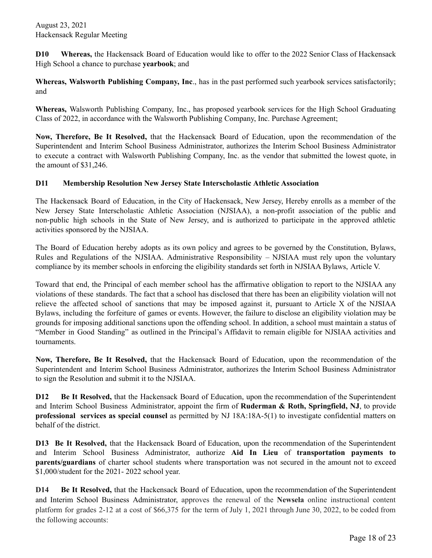**D10 Whereas,** the Hackensack Board of Education would like to offer to the 2022 Senior Class of Hackensack High School a chance to purchase **yearbook**; and

**Whereas, Walsworth Publishing Company, Inc**., has in the past performed such yearbook services satisfactorily; and

**Whereas,** Walsworth Publishing Company, Inc., has proposed yearbook services for the High School Graduating Class of 2022, in accordance with the Walsworth Publishing Company, Inc. Purchase Agreement;

**Now, Therefore, Be It Resolved,** that the Hackensack Board of Education, upon the recommendation of the Superintendent and Interim School Business Administrator, authorizes the Interim School Business Administrator to execute a contract with Walsworth Publishing Company, Inc. as the vendor that submitted the lowest quote, in the amount of \$31,246.

## **D11 Membership Resolution New Jersey State Interscholastic Athletic Association**

The Hackensack Board of Education, in the City of Hackensack, New Jersey, Hereby enrolls as a member of the New Jersey State Interscholastic Athletic Association (NJSIAA), a non-profit association of the public and non-public high schools in the State of New Jersey, and is authorized to participate in the approved athletic activities sponsored by the NJSIAA.

The Board of Education hereby adopts as its own policy and agrees to be governed by the Constitution, Bylaws, Rules and Regulations of the NJSIAA. Administrative Responsibility – NJSIAA must rely upon the voluntary compliance by its member schools in enforcing the eligibility standards set forth in NJSIAA Bylaws, Article V.

Toward that end, the Principal of each member school has the affirmative obligation to report to the NJSIAA any violations of these standards. The fact that a school has disclosed that there has been an eligibility violation will not relieve the affected school of sanctions that may be imposed against it, pursuant to Article X of the NJSIAA Bylaws, including the forfeiture of games or events. However, the failure to disclose an eligibility violation may be grounds for imposing additional sanctions upon the offending school. In addition, a school must maintain a status of "Member in Good Standing" as outlined in the Principal's Affidavit to remain eligible for NJSIAA activities and tournaments.

**Now, Therefore, Be It Resolved,** that the Hackensack Board of Education, upon the recommendation of the Superintendent and Interim School Business Administrator, authorizes the Interim School Business Administrator to sign the Resolution and submit it to the NJSIAA.

**D12 Be It Resolved,** that the Hackensack Board of Education, upon the recommendation of the Superintendent and Interim School Business Administrator, appoint the firm of **Ruderman & Roth, Springfield, NJ**, to provide **professional services as special counsel** as permitted by NJ 18A:18A-5(1) to investigate confidential matters on behalf of the district.

**D13 Be It Resolved,** that the Hackensack Board of Education, upon the recommendation of the Superintendent and Interim School Business Administrator, authorize **Aid In Lieu** of **transportation payments to parents/guardians** of charter school students where transportation was not secured in the amount not to exceed \$1,000/student for the 2021- 2022 school year.

**D14 Be It Resolved,** that the Hackensack Board of Education, upon the recommendation of the Superintendent and Interim School Business Administrator, approves the renewal of the **Newsela** online instructional content platform for grades 2-12 at a cost of \$66,375 for the term of July 1, 2021 through June 30, 2022, to be coded from the following accounts: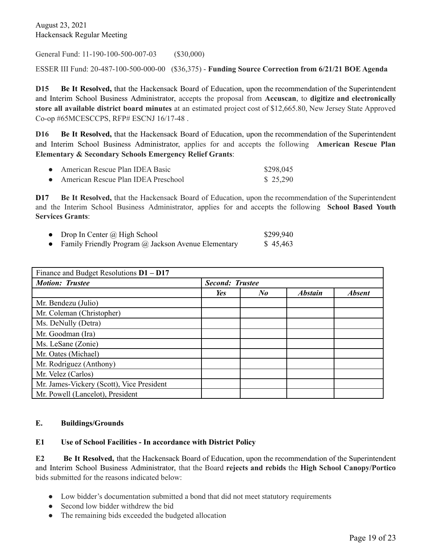General Fund: 11-190-100-500-007-03 (\$30,000)

ESSER III Fund: 20-487-100-500-000-00 (\$36,375) - **Funding Source Correction from 6/21/21 BOE Agenda**

**D15 Be It Resolved,** that the Hackensack Board of Education, upon the recommendation of the Superintendent and Interim School Business Administrator, accepts the proposal from **Accuscan**, to **digitize and electronically store all available district board minutes** at an estimated project cost of \$12,665.80, New Jersey State Approved Co-op #65MCESCCPS, RFP# ESCNJ 16/17-48 .

**D16 Be It Resolved,** that the Hackensack Board of Education, upon the recommendation of the Superintendent and Interim School Business Administrator, applies for and accepts the following **American Rescue Plan Elementary & Secondary Schools Emergency Relief Grants**:

| American Rescue Plan IDEA Basic     | \$298,045 |
|-------------------------------------|-----------|
| American Rescue Plan IDEA Preschool | \$25,290  |

**D17 Be It Resolved,** that the Hackensack Board of Education, upon the recommendation of the Superintendent and the Interim School Business Administrator, applies for and accepts the following **School Based Youth Services Grants**:

| Drop In Center @ High School                        | \$299,940 |
|-----------------------------------------------------|-----------|
| Family Friendly Program @ Jackson Avenue Elementary | \$45.463  |

| Finance and Budget Resolutions $D1 - D17$ |                        |    |                |               |
|-------------------------------------------|------------------------|----|----------------|---------------|
| <b>Motion: Trustee</b>                    | <b>Second: Trustee</b> |    |                |               |
|                                           | Yes                    | No | <b>Abstain</b> | <b>Absent</b> |
| Mr. Bendezu (Julio)                       |                        |    |                |               |
| Mr. Coleman (Christopher)                 |                        |    |                |               |
| Ms. DeNully (Detra)                       |                        |    |                |               |
| Mr. Goodman (Ira)                         |                        |    |                |               |
| Ms. LeSane (Zonie)                        |                        |    |                |               |
| Mr. Oates (Michael)                       |                        |    |                |               |
| Mr. Rodriguez (Anthony)                   |                        |    |                |               |
| Mr. Velez (Carlos)                        |                        |    |                |               |
| Mr. James-Vickery (Scott), Vice President |                        |    |                |               |
| Mr. Powell (Lancelot), President          |                        |    |                |               |

## **E. Buildings/Grounds**

#### **E1 Use of School Facilities - In accordance with District Policy**

**E2 Be It Resolved,** that the Hackensack Board of Education, upon the recommendation of the Superintendent and Interim School Business Administrator, that the Board **rejects and rebids** the **High School Canopy/Portico** bids submitted for the reasons indicated below:

- Low bidder's documentation submitted a bond that did not meet statutory requirements
- Second low bidder withdrew the bid
- The remaining bids exceeded the budgeted allocation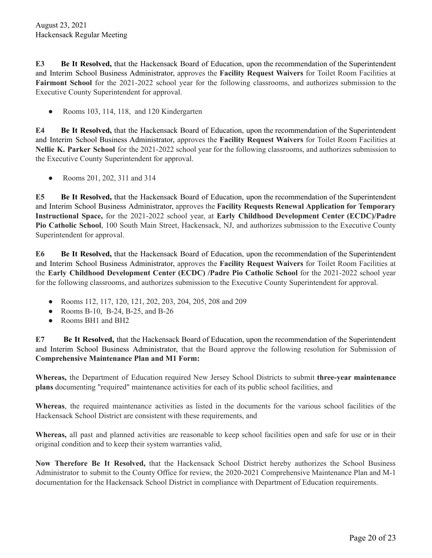**E3 Be It Resolved,** that the Hackensack Board of Education, upon the recommendation of the Superintendent and Interim School Business Administrator, approves the **Facility Request Waivers** for Toilet Room Facilities at **Fairmont School** for the 2021-2022 school year for the following classrooms, and authorizes submission to the Executive County Superintendent for approval.

• Rooms 103, 114, 118, and 120 Kindergarten

**E4 Be It Resolved,** that the Hackensack Board of Education, upon the recommendation of the Superintendent and Interim School Business Administrator, approves the **Facility Request Waivers** for Toilet Room Facilities at **Nellie K. Parker School** for the 2021-2022 school year for the following classrooms, and authorizes submission to the Executive County Superintendent for approval.

● Rooms 201, 202, 311 and 314

**E5 Be It Resolved,** that the Hackensack Board of Education, upon the recommendation of the Superintendent and Interim School Business Administrator, approves the **Facility Requests Renewal Application for Temporary Instructional Space,** for the 2021-2022 school year, at **Early Childhood Development Center (ECDC)/Padre Pio Catholic School**, 100 South Main Street, Hackensack, NJ, and authorizes submission to the Executive County Superintendent for approval.

**E6 Be It Resolved,** that the Hackensack Board of Education, upon the recommendation of the Superintendent and Interim School Business Administrator, approves the **Facility Request Waivers** for Toilet Room Facilities at the **Early Childhood Development Center (ECDC) /Padre Pio Catholic School** for the 2021-2022 school year for the following classrooms, and authorizes submission to the Executive County Superintendent for approval.

- Rooms 112, 117, 120, 121, 202, 203, 204, 205, 208 and 209
- Rooms B-10, B-24, B-25, and B-26
- Rooms BH1 and BH2

**E7 Be It Resolved,** that the Hackensack Board of Education, upon the recommendation of the Superintendent and Interim School Business Administrator, that the Board approve the following resolution for Submission of **Comprehensive Maintenance Plan and M1 Form:**

**Whereas,** the Department of Education required New Jersey School Districts to submit **three-year maintenance plans** documenting "required" maintenance activities for each of its public school facilities, and

**Whereas**, the required maintenance activities as listed in the documents for the various school facilities of the Hackensack School District are consistent with these requirements, and

**Whereas,** all past and planned activities are reasonable to keep school facilities open and safe for use or in their original condition and to keep their system warranties valid,

**Now Therefore Be It Resolved,** that the Hackensack School District hereby authorizes the School Business Administrator to submit to the County Office for review, the 2020-2021 Comprehensive Maintenance Plan and M-1 documentation for the Hackensack School District in compliance with Department of Education requirements.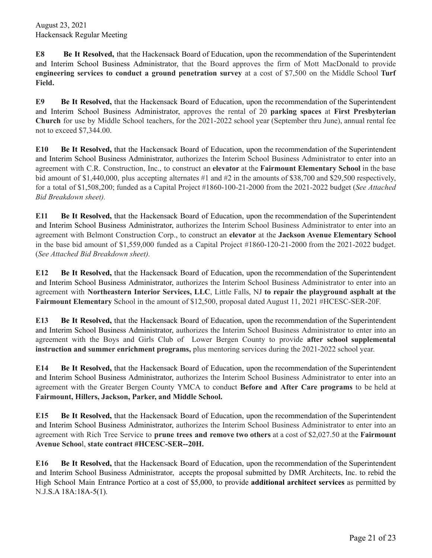**E8 Be It Resolved,** that the Hackensack Board of Education, upon the recommendation of the Superintendent and Interim School Business Administrator, that the Board approves the firm of Mott MacDonald to provide **engineering services to conduct a ground penetration survey** at a cost of \$7,500 on the Middle School **Turf Field.**

**E9 Be It Resolved,** that the Hackensack Board of Education, upon the recommendation of the Superintendent and Interim School Business Administrator, approves the rental of 20 **parking spaces** at **First Presbyterian Church** for use by Middle School teachers, for the 2021-2022 school year (September thru June), annual rental fee not to exceed \$7,344.00.

**E10 Be It Resolved,** that the Hackensack Board of Education, upon the recommendation of the Superintendent and Interim School Business Administrator, authorizes the Interim School Business Administrator to enter into an agreement with C.R. Construction, Inc., to construct an **elevator** at the **Fairmount Elementary School** in the base bid amount of \$1,440,000, plus accepting alternates #1 and #2 in the amounts of \$38,700 and \$29,500 respectively, for a total of \$1,508,200; funded as a Capital Project #1860-100-21-2000 from the 2021-2022 budget (*See Attached Bid Breakdown sheet).*

**E11 Be It Resolved,** that the Hackensack Board of Education, upon the recommendation of the Superintendent and Interim School Business Administrator, authorizes the Interim School Business Administrator to enter into an agreement with Belmont Construction Corp., to construct an **elevator** at the **Jackson Avenue Elementary School** in the base bid amount of \$1,559,000 funded as a Capital Project #1860-120-21-2000 from the 2021-2022 budget. (*See Attached Bid Breakdown sheet).*

**E12 Be It Resolved,** that the Hackensack Board of Education, upon the recommendation of the Superintendent and Interim School Business Administrator, authorizes the Interim School Business Administrator to enter into an agreement with **Northeastern Interior Services, LLC**, Little Falls, NJ **to repair the playground asphalt at the Fairmount Elementary** School in the amount of \$12,500, proposal dated August 11, 2021 #HCESC-SER-20F.

**E13 Be It Resolved,** that the Hackensack Board of Education, upon the recommendation of the Superintendent and Interim School Business Administrator, authorizes the Interim School Business Administrator to enter into an agreement with the Boys and Girls Club of Lower Bergen County to provide **after school supplemental instruction and summer enrichment programs,** plus mentoring services during the 2021-2022 school year.

**E14 Be It Resolved,** that the Hackensack Board of Education, upon the recommendation of the Superintendent and Interim School Business Administrator, authorizes the Interim School Business Administrator to enter into an agreement with the Greater Bergen County YMCA to conduct **Before and After Care programs** to be held at **Fairmount, Hillers, Jackson, Parker, and Middle School.**

**E15 Be It Resolved,** that the Hackensack Board of Education, upon the recommendation of the Superintendent and Interim School Business Administrator, authorizes the Interim School Business Administrator to enter into an agreement with Rich Tree Service to **prune trees and remove two others** at a cost of \$2,027.50 at the **Fairmount Avenue Schoo**l, **state contract #HCESC-SER--20H.**

**E16 Be It Resolved,** that the Hackensack Board of Education, upon the recommendation of the Superintendent and Interim School Business Administrator, accepts the proposal submitted by DMR Architects, Inc. to rebid the High School Main Entrance Portico at a cost of \$5,000, to provide **additional architect services** as permitted by N.J.S.A 18A:18A-5(1).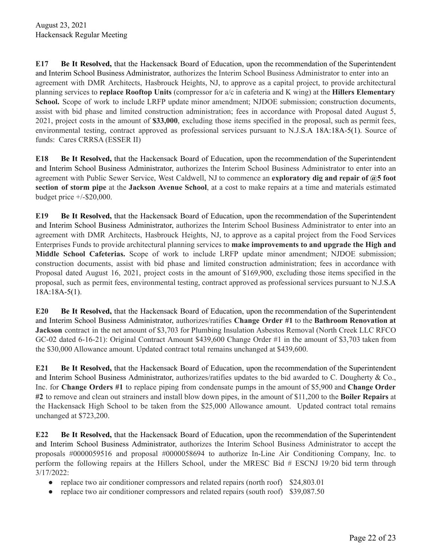**E17 Be It Resolved,** that the Hackensack Board of Education, upon the recommendation of the Superintendent and Interim School Business Administrator, authorizes the Interim School Business Administrator to enter into an agreement with DMR Architects, Hasbrouck Heights, NJ, to approve as a capital project, to provide architectural planning services to **replace Rooftop Units** (compressor for a/c in cafeteria and K wing) at the **Hillers Elementary School.** Scope of work to include LRFP update minor amendment; NJDOE submission; construction documents, assist with bid phase and limited construction administration; fees in accordance with Proposal dated August 5, 2021, project costs in the amount of **\$33,000**, excluding those items specified in the proposal, such as permit fees, environmental testing, contract approved as professional services pursuant to N.J.S.A 18A:18A-5(1). Source of funds: Cares CRRSA (ESSER II)

**E18 Be It Resolved,** that the Hackensack Board of Education, upon the recommendation of the Superintendent and Interim School Business Administrator, authorizes the Interim School Business Administrator to enter into an agreement with Public Sewer Service, West Caldwell, NJ to commence an **exploratory dig and repair of @5 foot section of storm pipe** at the **Jackson Avenue School**, at a cost to make repairs at a time and materials estimated budget price +/-\$20,000.

**E19 Be It Resolved,** that the Hackensack Board of Education, upon the recommendation of the Superintendent and Interim School Business Administrator, authorizes the Interim School Business Administrator to enter into an agreement with DMR Architects, Hasbrouck Heights, NJ, to approve as a capital project from the Food Services Enterprises Funds to provide architectural planning services to **make improvements to and upgrade the High and Middle School Cafeterias.** Scope of work to include LRFP update minor amendment; NJDOE submission; construction documents, assist with bid phase and limited construction administration; fees in accordance with Proposal dated August 16, 2021, project costs in the amount of \$169,900, excluding those items specified in the proposal, such as permit fees, environmental testing, contract approved as professional services pursuant to N.J.S.A 18A:18A-5(1).

**E20 Be It Resolved,** that the Hackensack Board of Education, upon the recommendation of the Superintendent and Interim School Business Administrator, authorizes/ratifies **Change Order #1** to the **Bathroom Renovation at Jackson** contract in the net amount of \$3,703 for Plumbing Insulation Asbestos Removal (North Creek LLC RFCO GC-02 dated 6-16-21): Original Contract Amount \$439,600 Change Order #1 in the amount of \$3,703 taken from the \$30,000 Allowance amount. Updated contract total remains unchanged at \$439,600.

**E21 Be It Resolved,** that the Hackensack Board of Education, upon the recommendation of the Superintendent and Interim School Business Administrator, authorizes/ratifies updates to the bid awarded to C. Dougherty & Co., Inc. for **Change Orders #1** to replace piping from condensate pumps in the amount of \$5,900 and **Change Order #2** to remove and clean out strainers and install blow down pipes, in the amount of \$11,200 to the **Boiler Repairs** at the Hackensack High School to be taken from the \$25,000 Allowance amount. Updated contract total remains unchanged at \$723,200.

**E22 Be It Resolved,** that the Hackensack Board of Education, upon the recommendation of the Superintendent and Interim School Business Administrator, authorizes the Interim School Business Administrator to accept the proposals #0000059516 and proposal #0000058694 to authorize In-Line Air Conditioning Company, Inc. to perform the following repairs at the Hillers School, under the MRESC Bid # ESCNJ 19/20 bid term through 3/17/2022:

- replace two air conditioner compressors and related repairs (north roof) \$24,803.01
- replace two air conditioner compressors and related repairs (south roof) \$39,087.50